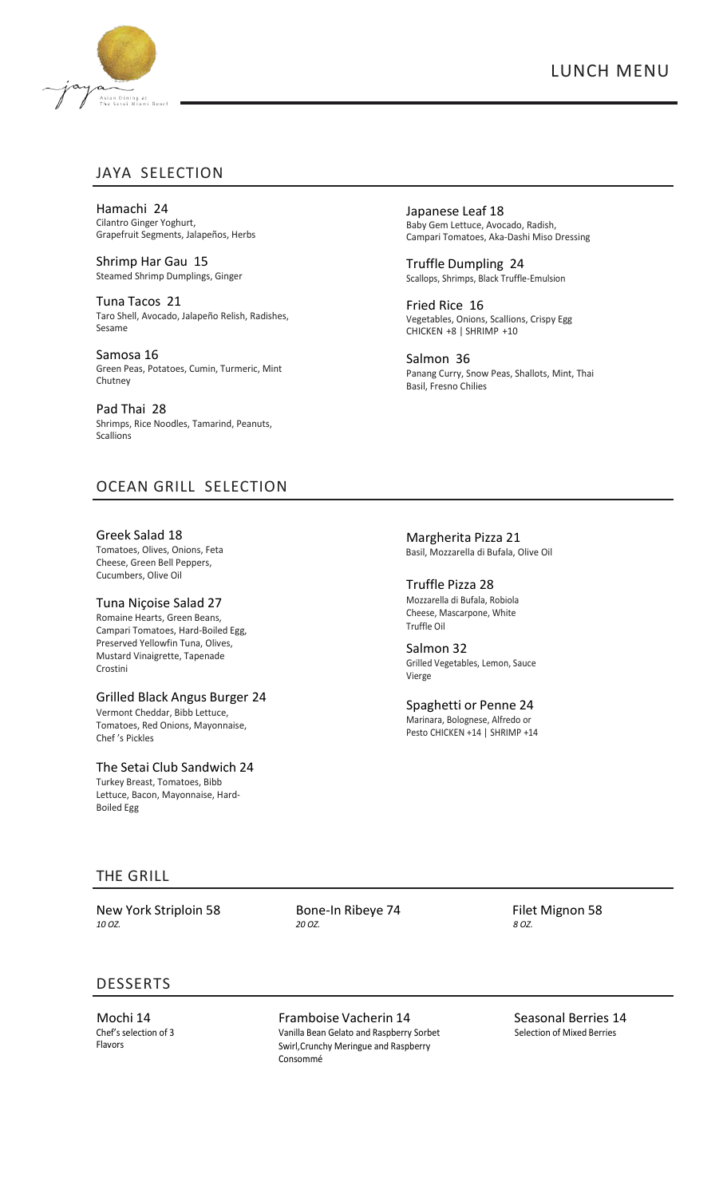

# JAYA SELECTION

Hamachi 24 Cilantro Ginger Yoghurt, Grapefruit Segments, Jalapeños, Herbs

Shrimp Har Gau 15 Steamed Shrimp Dumplings, Ginger

Tuna Tacos 21 Taro Shell, Avocado, Jalapeño Relish, Radishes, Sesame

Samosa 16 Green Peas, Potatoes, Cumin, Turmeric, Mint Chutney

Pad Thai 28 Shrimps, Rice Noodles, Tamarind, Peanuts, **Scallions** 

OCEAN GRILL SELECTION

Greek Salad 18 Tomatoes, Olives, Onions, Feta Cheese, Green Bell Peppers, Cucumbers, Olive Oil

## Tuna Niçoise Salad 27

Romaine Hearts, Green Beans, Campari Tomatoes, Hard-Boiled Egg, Preserved Yellowfin Tuna, Olives, Mustard Vinaigrette, Tapenade Crostini

#### Grilled Black Angus Burger 24

Vermont Cheddar, Bibb Lettuce, Tomatoes, Red Onions, Mayonnaise, Chef 's Pickles

The Setai Club Sandwich 24 Turkey Breast, Tomatoes, Bibb Lettuce, Bacon, Mayonnaise, Hard-Boiled Egg

Japanese Leaf 18 Baby Gem Lettuce, Avocado, Radish, Campari Tomatoes, Aka-Dashi Miso Dressing

Truffle Dumpling 24 Scallops, Shrimps, Black Truffle-Emulsion

Fried Rice 16 Vegetables, Onions, Scallions, Crispy Egg CHICKEN +8 | SHRIMP +10

Salmon 36 Panang Curry, Snow Peas, Shallots, Mint, Thai Basil, Fresno Chilies

 Margherita Pizza 21 Basil, Mozzarella di Bufala, Olive Oil

Truffle Pizza 28 Mozzarella di Bufala, Robiola Cheese, Mascarpone, White Truffle Oil

Salmon 32 Grilled Vegetables, Lemon, Sauce Vierge

Spaghetti or Penne 24 Marinara, Bolognese, Alfredo or Pesto CHICKEN +14 | SHRIMP +14

# THE GRILL

New York Striploin 58 *10 OZ.*

 Bone-In Ribeye 74  *20 OZ.*

 Filet Mignon 58 *8 OZ.*

# DESSERTS

Mochi 14 Chef's selection of 3 Flavors

Framboise Vacherin 14 Vanilla Bean Gelato and Raspberry Sorbet Swirl,Crunchy Meringue and Raspberry Consommé

 Seasonal Berries 14 Selection of Mixed Berries